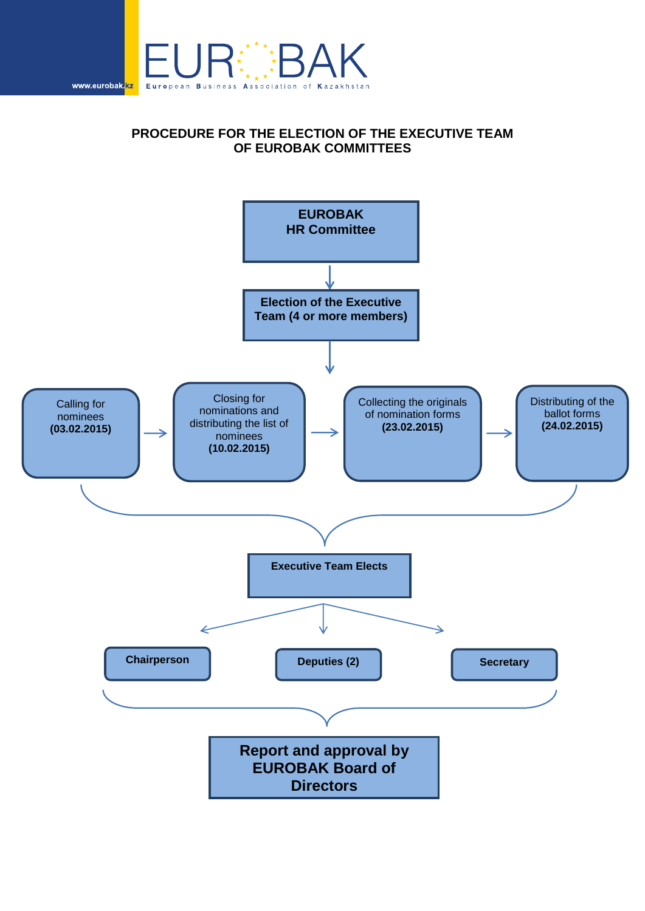

## **PROCEDURE FOR THE ELECTION OF THE EXECUTIVE TEAM OF EUROBAK COMMITTEES**

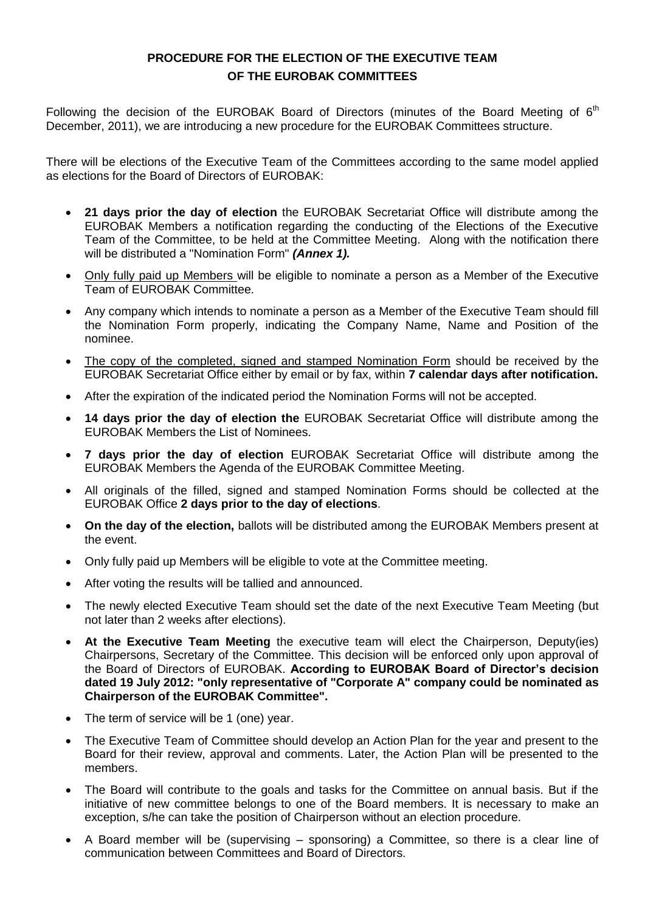## **PROCEDURE FOR THE ELECTION OF THE EXECUTIVE TEAM OF THE EUROBAK COMMITTEES**

Following the decision of the EUROBAK Board of Directors (minutes of the Board Meeting of  $6<sup>th</sup>$ December, 2011), we are introducing a new procedure for the EUROBAK Committees structure.

There will be elections of the Executive Team of the Committees according to the same model applied as elections for the Board of Directors of EUROBAK:

- **21 days prior the day of election** the EUROBAK Secretariat Office will distribute among the EUROBAK Members a notification regarding the conducting of the Elections of the Executive Team of the Committee, to be held at the Committee Meeting. Along with the notification there will be distributed a "Nomination Form" *(Annex 1).*
- Only fully paid up Members will be eligible to nominate a person as a Member of the Executive Team of EUROBAK Committee.
- Any company which intends to nominate a person as a Member of the Executive Team should fill the Nomination Form properly, indicating the Company Name, Name and Position of the nominee.
- The copy of the completed, signed and stamped Nomination Form should be received by the EUROBAK Secretariat Office either by email or by fax, within **7 calendar days after notification.**
- After the expiration of the indicated period the Nomination Forms will not be accepted.
- **14 days prior the day of election the** EUROBAK Secretariat Office will distribute among the EUROBAK Members the List of Nominees.
- **7 days prior the day of election** EUROBAK Secretariat Office will distribute among the EUROBAK Members the Agenda of the EUROBAK Committee Meeting.
- All originals of the filled, signed and stamped Nomination Forms should be collected at the EUROBAK Office **2 days prior to the day of elections**.
- **On the day of the election,** ballots will be distributed among the EUROBAK Members present at the event.
- Only fully paid up Members will be eligible to vote at the Committee meeting.
- After voting the results will be tallied and announced.
- The newly elected Executive Team should set the date of the next Executive Team Meeting (but not later than 2 weeks after elections).
- **At the Executive Team Meeting** the executive team will elect the Chairperson, Deputy(ies) Chairpersons, Secretary of the Committee. This decision will be enforced only upon approval of the Board of Directors of EUROBAK. **According to EUROBAK Board of Director's decision dated 19 July 2012: "only representative of "Corporate A" company could be nominated as Chairperson of the EUROBAK Committee".**
- The term of service will be 1 (one) year.
- The Executive Team of Committee should develop an Action Plan for the year and present to the Board for their review, approval and comments. Later, the Action Plan will be presented to the members.
- The Board will contribute to the goals and tasks for the Committee on annual basis. But if the initiative of new committee belongs to one of the Board members. It is necessary to make an exception, s/he can take the position of Chairperson without an election procedure.
- A Board member will be (supervising sponsoring) a Committee, so there is a clear line of communication between Committees and Board of Directors.